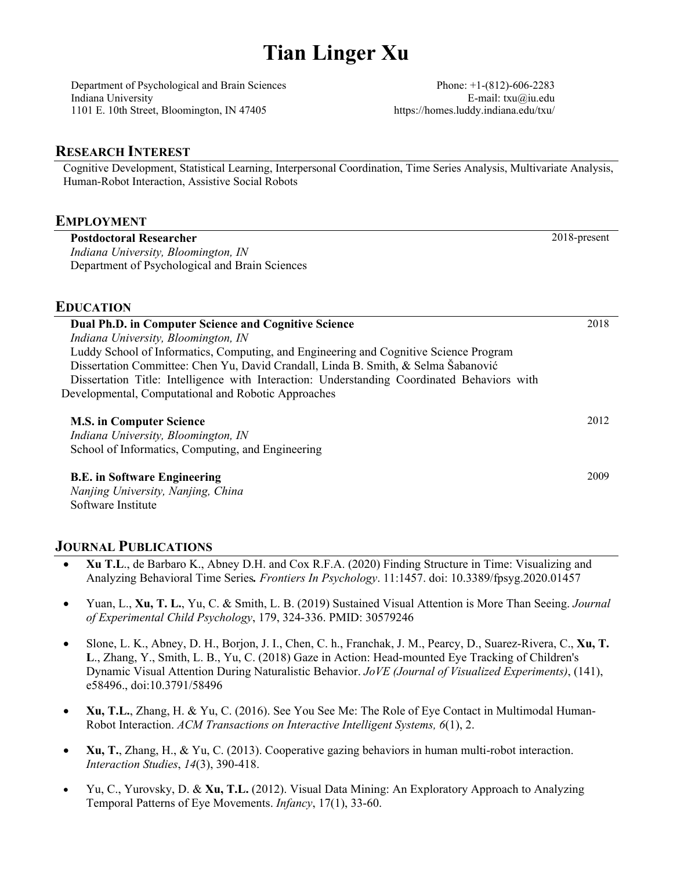# **Tian Linger Xu**

Department of Psychological and Brain Sciences Indiana University 1101 E. 10th Street, Bloomington, IN 47405

Phone: +1-(812)-606-2283 E-mail: txu@iu.edu https://homes.luddy.indiana.edu/txu/

2018-present

2009

## **RESEARCH INTEREST**

Cognitive Development, Statistical Learning, Interpersonal Coordination, Time Series Analysis, Multivariate Analysis, Human-Robot Interaction, Assistive Social Robots

## **EMPLOYMENT**

**Postdoctoral Researcher**  *Indiana University, Bloomington, IN*  Department of Psychological and Brain Sciences

## **EDUCATION**

| Dual Ph.D. in Computer Science and Cognitive Science                                        | 2018 |
|---------------------------------------------------------------------------------------------|------|
| Indiana University, Bloomington, IN                                                         |      |
| Luddy School of Informatics, Computing, and Engineering and Cognitive Science Program       |      |
| Dissertation Committee: Chen Yu, David Crandall, Linda B. Smith, & Selma Šabanović          |      |
| Dissertation Title: Intelligence with Interaction: Understanding Coordinated Behaviors with |      |
| Developmental, Computational and Robotic Approaches                                         |      |
|                                                                                             |      |
| <b>M.S. in Computer Science</b>                                                             | 2012 |

*Indiana University, Bloomington, IN*  School of Informatics, Computing, and Engineering

## **B.E. in Software Engineering**

*Nanjing University, Nanjing, China*  Software Institute

## **JOURNAL PUBLICATIONS**

- **Xu T.L**., de Barbaro K., Abney D.H. and Cox R.F.A. (2020) Finding Structure in Time: Visualizing and Analyzing Behavioral Time Series*. Frontiers In Psychology*. 11:1457. doi: 10.3389/fpsyg.2020.01457
- Yuan, L., **Xu, T. L.**, Yu, C. & Smith, L. B. (2019) Sustained Visual Attention is More Than Seeing. *Journal of Experimental Child Psychology*, 179, 324-336. PMID: 30579246
- Slone, L. K., Abney, D. H., Borjon, J. I., Chen, C. h., Franchak, J. M., Pearcy, D., Suarez-Rivera, C., **Xu, T. L**., Zhang, Y., Smith, L. B., Yu, C. (2018) Gaze in Action: Head-mounted Eye Tracking of Children's Dynamic Visual Attention During Naturalistic Behavior. *JoVE (Journal of Visualized Experiments)*, (141), e58496., doi:10.3791/58496
- **Xu, T.L.**, Zhang, H. & Yu, C. (2016). See You See Me: The Role of Eye Contact in Multimodal Human-Robot Interaction. *ACM Transactions on Interactive Intelligent Systems, 6*(1), 2.
- **Xu, T.**, Zhang, H., & Yu, C. (2013). Cooperative gazing behaviors in human multi-robot interaction. *Interaction Studies*, *14*(3), 390-418.
- Yu, C., Yurovsky, D. & **Xu, T.L.** (2012). Visual Data Mining: An Exploratory Approach to Analyzing Temporal Patterns of Eye Movements. *Infancy*, 17(1), 33-60.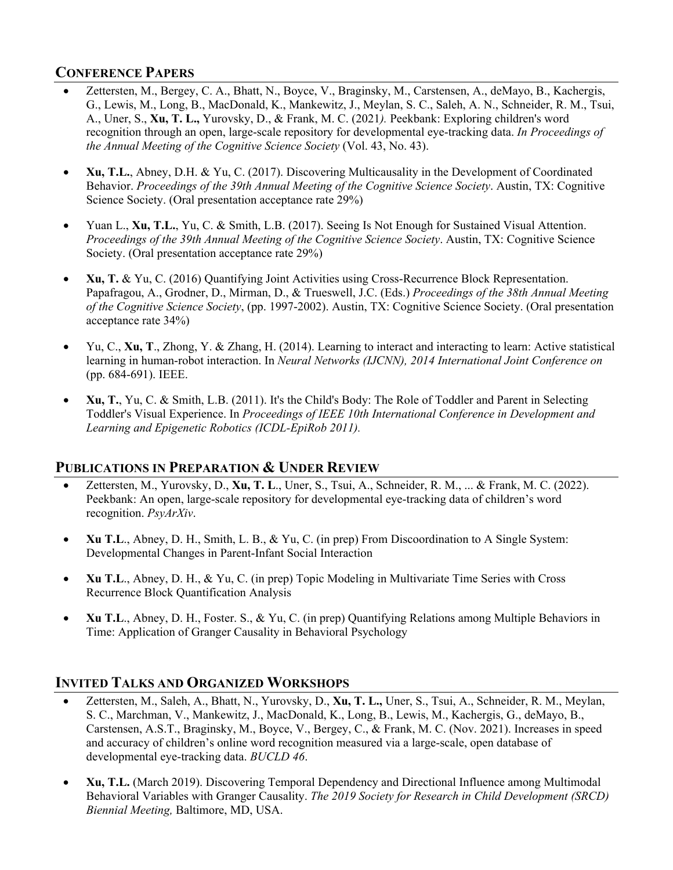# **CONFERENCE PAPERS**

- Zettersten, M., Bergey, C. A., Bhatt, N., Boyce, V., Braginsky, M., Carstensen, A., deMayo, B., Kachergis, G., Lewis, M., Long, B., MacDonald, K., Mankewitz, J., Meylan, S. C., Saleh, A. N., Schneider, R. M., Tsui, A., Uner, S., **Xu, T. L.,** Yurovsky, D., & Frank, M. C. (2021*).* Peekbank: Exploring children's word recognition through an open, large-scale repository for developmental eye-tracking data. *In Proceedings of the Annual Meeting of the Cognitive Science Society* (Vol. 43, No. 43).
- **Xu, T.L.**, Abney, D.H. & Yu, C. (2017). Discovering Multicausality in the Development of Coordinated Behavior. *Proceedings of the 39th Annual Meeting of the Cognitive Science Society*. Austin, TX: Cognitive Science Society. (Oral presentation acceptance rate 29%)
- Yuan L., **Xu, T.L.**, Yu, C. & Smith, L.B. (2017). Seeing Is Not Enough for Sustained Visual Attention. *Proceedings of the 39th Annual Meeting of the Cognitive Science Society*. Austin, TX: Cognitive Science Society. (Oral presentation acceptance rate 29%)
- **Xu, T.** & Yu, C. (2016) Quantifying Joint Activities using Cross-Recurrence Block Representation. Papafragou, A., Grodner, D., Mirman, D., & Trueswell, J.C. (Eds.) *Proceedings of the 38th Annual Meeting of the Cognitive Science Society*, (pp. 1997-2002). Austin, TX: Cognitive Science Society. (Oral presentation acceptance rate 34%)
- Yu, C., **Xu, T**., Zhong, Y. & Zhang, H. (2014). Learning to interact and interacting to learn: Active statistical learning in human-robot interaction. In *Neural Networks (IJCNN), 2014 International Joint Conference on*  (pp. 684-691). IEEE.
- **Xu, T.**, Yu, C. & Smith, L.B. (2011). It's the Child's Body: The Role of Toddler and Parent in Selecting Toddler's Visual Experience. In *Proceedings of IEEE 10th International Conference in Development and Learning and Epigenetic Robotics (ICDL-EpiRob 2011).*

# **PUBLICATIONS IN PREPARATION & UNDER REVIEW**

- Zettersten, M., Yurovsky, D., **Xu, T. L**., Uner, S., Tsui, A., Schneider, R. M., ... & Frank, M. C. (2022). Peekbank: An open, large-scale repository for developmental eye-tracking data of children's word recognition. *PsyArXiv*.
- **Xu T.L**., Abney, D. H., Smith, L. B., & Yu, C. (in prep) From Discoordination to A Single System: Developmental Changes in Parent-Infant Social Interaction
- **Xu T.L**., Abney, D. H., & Yu, C. (in prep) Topic Modeling in Multivariate Time Series with Cross Recurrence Block Quantification Analysis
- **Xu T.L**., Abney, D. H., Foster. S., & Yu, C. (in prep) Quantifying Relations among Multiple Behaviors in Time: Application of Granger Causality in Behavioral Psychology

# **INVITED TALKS AND ORGANIZED WORKSHOPS**

- Zettersten, M., Saleh, A., Bhatt, N., Yurovsky, D., **Xu, T. L.,** Uner, S., Tsui, A., Schneider, R. M., Meylan, S. C., Marchman, V., Mankewitz, J., MacDonald, K., Long, B., Lewis, M., Kachergis, G., deMayo, B., Carstensen, A.S.T., Braginsky, M., Boyce, V., Bergey, C., & Frank, M. C. (Nov. 2021). Increases in speed and accuracy of children's online word recognition measured via a large-scale, open database of developmental eye-tracking data. *BUCLD 46*.
- **Xu, T.L.** (March 2019). Discovering Temporal Dependency and Directional Influence among Multimodal Behavioral Variables with Granger Causality. *The 2019 Society for Research in Child Development (SRCD) Biennial Meeting,* Baltimore, MD, USA.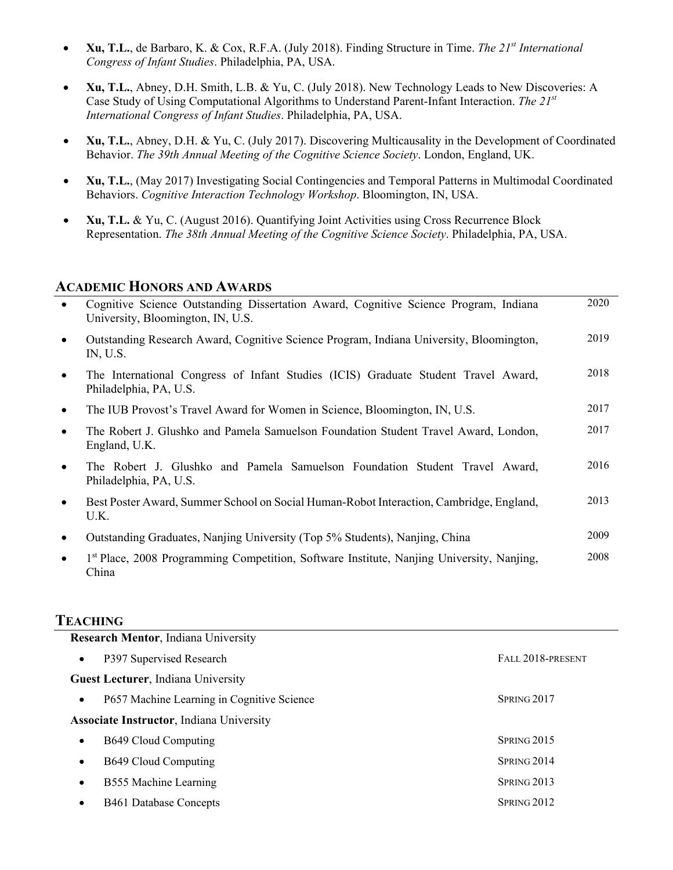- **Xu, T.L.**, de Barbaro, K. & Cox, R.F.A. (July 2018). Finding Structure in Time. *The 21st International Congress of Infant Studies*. Philadelphia, PA, USA.
- **Xu, T.L.**, Abney, D.H. Smith, L.B. & Yu, C. (July 2018). New Technology Leads to New Discoveries: A Case Study of Using Computational Algorithms to Understand Parent-Infant Interaction. *The 21st International Congress of Infant Studies*. Philadelphia, PA, USA.
- **Xu, T.L.**, Abney, D.H. & Yu, C. (July 2017). Discovering Multicausality in the Development of Coordinated Behavior. *The 39th Annual Meeting of the Cognitive Science Society*. London, England, UK.
- **Xu, T.L.**, (May 2017) Investigating Social Contingencies and Temporal Patterns in Multimodal Coordinated Behaviors. *Cognitive Interaction Technology Workshop*. Bloomington, IN, USA.
- **Xu, T.L.** & Yu, C. (August 2016). Quantifying Joint Activities using Cross Recurrence Block Representation. *The 38th Annual Meeting of the Cognitive Science Society*. Philadelphia, PA, USA.

## **ACADEMIC HONORS AND AWARDS**

| $\bullet$ | Cognitive Science Outstanding Dissertation Award, Cognitive Science Program, Indiana<br>University, Bloomington, IN, U.S. | 2020 |
|-----------|---------------------------------------------------------------------------------------------------------------------------|------|
| $\bullet$ | Outstanding Research Award, Cognitive Science Program, Indiana University, Bloomington,<br>IN, U.S.                       | 2019 |
| $\bullet$ | The International Congress of Infant Studies (ICIS) Graduate Student Travel Award,<br>Philadelphia, PA, U.S.              | 2018 |
| $\bullet$ | The IUB Provost's Travel Award for Women in Science, Bloomington, IN, U.S.                                                | 2017 |
| $\bullet$ | The Robert J. Glushko and Pamela Samuelson Foundation Student Travel Award, London,<br>England, U.K.                      | 2017 |
| $\bullet$ | The Robert J. Glushko and Pamela Samuelson Foundation Student Travel Award,<br>Philadelphia, PA, U.S.                     | 2016 |
| $\bullet$ | Best Poster Award, Summer School on Social Human-Robot Interaction, Cambridge, England,<br>U.K.                           | 2013 |
| $\bullet$ | Outstanding Graduates, Nanjing University (Top 5% Students), Nanjing, China                                               | 2009 |
| $\bullet$ | 1 <sup>st</sup> Place, 2008 Programming Competition, Software Institute, Nanjing University, Nanjing,<br>China            | 2008 |

## **TEACHING**

| <b>Research Mentor, Indiana University</b>              |                    |  |  |  |
|---------------------------------------------------------|--------------------|--|--|--|
| P397 Supervised Research<br>$\bullet$                   | FALL 2018-PRESENT  |  |  |  |
| <b>Guest Lecturer</b> , Indiana University              |                    |  |  |  |
| P657 Machine Learning in Cognitive Science<br>$\bullet$ | SPRING 2017        |  |  |  |
| <b>Associate Instructor</b> , Indiana University        |                    |  |  |  |
| B649 Cloud Computing<br>$\bullet$                       | SPRING 2015        |  |  |  |
| B649 Cloud Computing<br>$\bullet$                       | SPRING 2014        |  |  |  |
| B555 Machine Learning<br>$\bullet$                      | <b>SPRING 2013</b> |  |  |  |
| B461 Database Concepts<br>$\bullet$                     | SPRING 2012        |  |  |  |